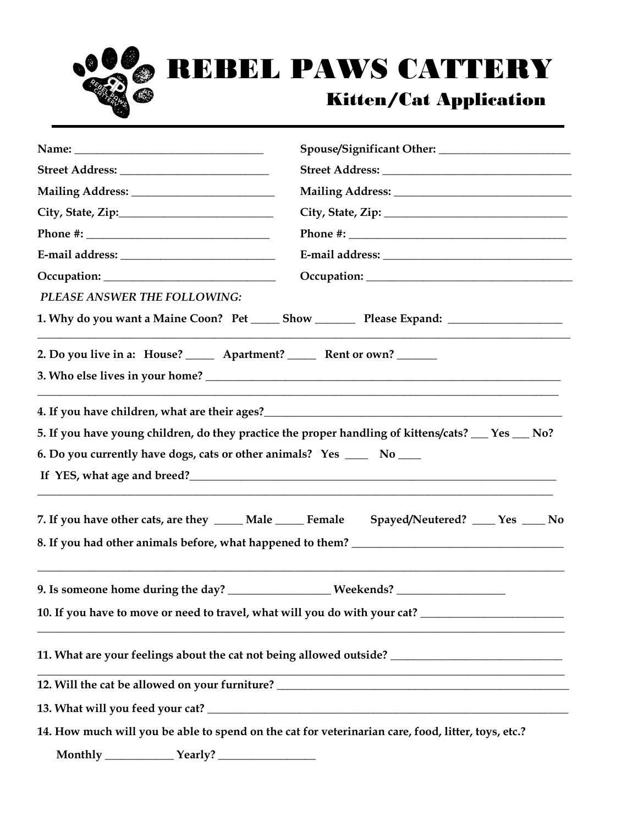

## REBEL PAWS CATTERY

## Kitten/Cat Application

| PLEASE ANSWER THE FOLLOWING:                                                 |                                                                                                                                                                                         |  |
|------------------------------------------------------------------------------|-----------------------------------------------------------------------------------------------------------------------------------------------------------------------------------------|--|
|                                                                              | 1. Why do you want a Maine Coon? Pet ______ Show ____________ Please Expand: _______________________                                                                                    |  |
| 2. Do you live in a: House? _______ Apartment? ________ Rent or own? _______ |                                                                                                                                                                                         |  |
| 6. Do you currently have dogs, cats or other animals? Yes ______ No ____     | 4. If you have children, what are their ages? ___________________________________<br>5. If you have young children, do they practice the proper handling of kittens/cats? __ Yes __ No? |  |
|                                                                              | 7. If you have other cats, are they _____ Male _____ Female Spayed/Neutered? ____ Yes ____ No                                                                                           |  |
|                                                                              | 9. Is someone home during the day? _________________Weekends? __________________                                                                                                        |  |
|                                                                              | 10. If you have to move or need to travel, what will you do with your cat? _________________________                                                                                    |  |
|                                                                              | 11. What are your feelings about the cat not being allowed outside? ________________________________                                                                                    |  |
|                                                                              | 12. Will the cat be allowed on your furniture? __________________________________                                                                                                       |  |
|                                                                              |                                                                                                                                                                                         |  |
|                                                                              | 14. How much will you be able to spend on the cat for veterinarian care, food, litter, toys, etc.?                                                                                      |  |
|                                                                              |                                                                                                                                                                                         |  |